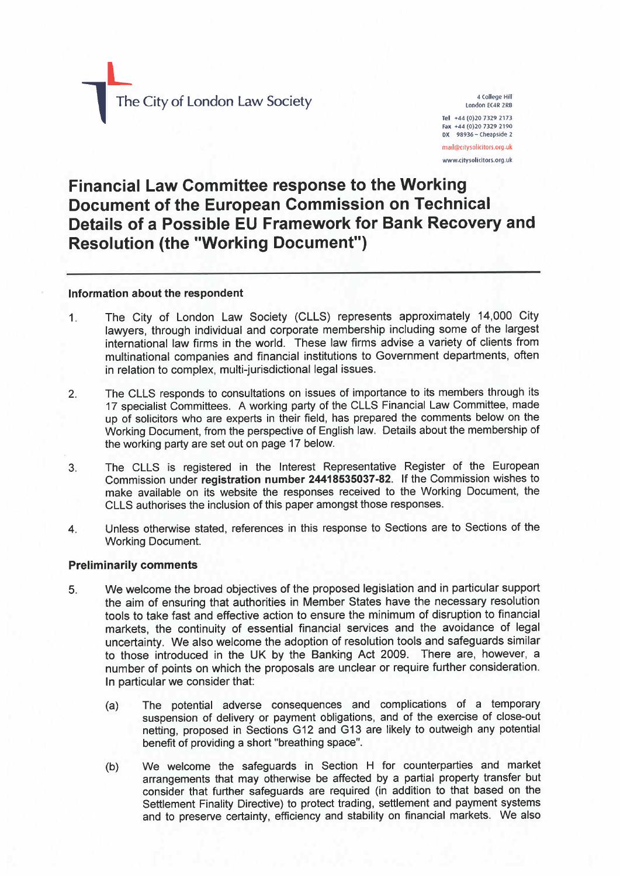The City of London Law Society

1 The City of London Law Society of London

4 College Hil london EC4R 2RB Tel +44 (0)20 7329 2173 Fax +44 (0)20 7329 2190 OX 98936 - Cheapside 2 mail@citysolicitors.org.uk www.eitysolicitors.org.uk

# Financial Law Committee response to the Working Document of the European Commission on Technical Details of a Possible EU Framework for Bank Recovery and Resolution (the "Working Document")

#### Information about the respondent

- 1. The City of london law Society (CllS) represents approximately 14,000 City lawyers, through individual and corporate membership including some of the largest international law firms in the world. These law firms advise a variety of clients from multinational companies and financial institutions to Government departments, often in relation to complex, multi-jurisdictional legal issues.
- 2. The CLLS responds to consultations on issues of importance to its members through its 17 specialist Committees. A working party of the CLLS Financial Law Committee, made up of solicitors who are experts in their field, has prepared the comments below on the Working Document, from the perspective of English law. Details about the membership of the working party are set out on page 17 below.
- 3. The CLLS is registered in the Interest Representative Register of the European Commission under registration number 24418535037-82. If the Commission wishes to make available on its website the responses received to the Working Document, the CLLS authorises the inclusion of this paper amongst those responses.
- 4. Unless otherwise stated, references in this response to Sections are to Sections of the Working Document.

## Preliminarily comments

- 5. We welcome the broad objectives of the proposed legislation and in particular support the aim of ensuring that authorities in Member States have the necessary resolution tools to take fast and effective action to ensure the minimum of disruption to financial markets, the continuity of essential financial services and the avoidance of legal uncertainty. We also welcome the adoption of resolution tools and safeguards similar to those introduced in the UK by the Banking Act 2009. There are, however, a number of points on which the proposals are unclear or require further consideration. In particular we consider that:
	- (a) The potential adverse consequences and complications of a temporary suspension of delivery or payment obligations, and of the exercise of close-out netting, proposed in Sections G12 and G13 are likely to outweigh any potential benefit of providing a short "breathing space".
	- (b) We welcome the safeguards in Section H for counterparties and market arrangements that may otherwise be affected by a partial property transfer but consider that further safeguards are required (in addition to that based on the Settlement Finality Directive) to protect trading, settlement and payment systems and to preserve certainty, efficiency and stability on financial markets. We also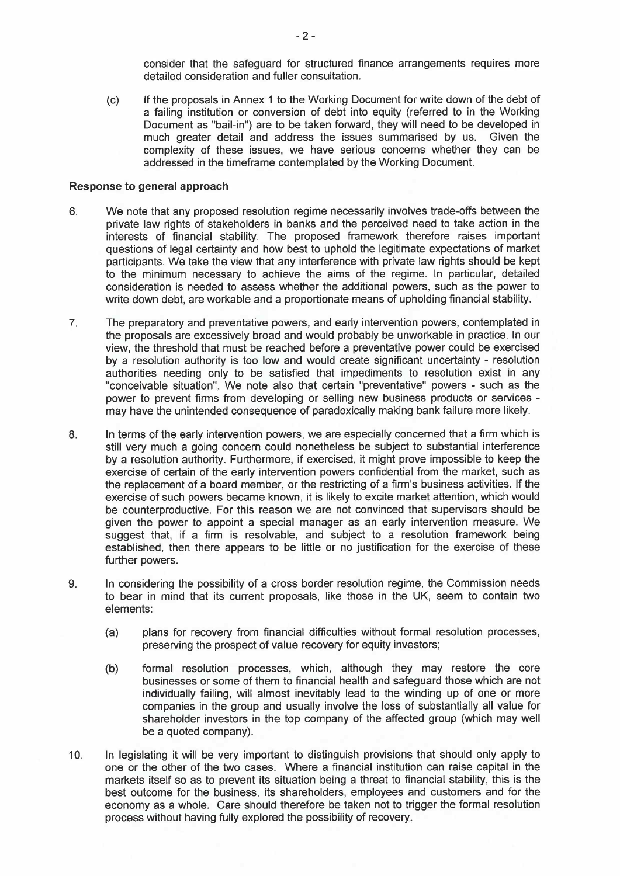consider that the safeguard for structured finance arrangements requires more detailed consideration and fuller consultation.

(c) If the proposals in Annex 1 to the Working Document for write down of the debt of a failing institution or conversion of debt into equity (referred to in the Working Document as "bail-in") are to be taken forward, they will need to be developed in much greater detail and address the issues summarised by us. Given the complexity of these issues, we have serious concerns whether they can be addressed in the timeframe contemplated by the Working Document.

#### Response to general approach

- 6. We note that any proposed resolution regime necessarily involves trade-offs between the private law rights of stakeholders in banks and the perceived need to take action in the interests of financial stability. The proposed framework therefore raises important questions of legal certainty and how best to uphold the legitimate expectations of market participants. We take the view that any interference with private law rights should be kept to the minimum necessary to achieve the aims of the regime. In particular, detailed consideration is needed to assess whether the additional powers, such as the power to write down debt, are workable and a proportionate means of upholding financial stability.
- 7. The preparatory and preventative powers, and early intervention powers, contemplated in the proposals are excessively broad and would probably be unworkable in practice. In our view, the threshold that must be reached before a preventative power could be exercised by a resolution authority is too low and would create significant uncertainty - resolution authorities needing only to be satisfied that impediments to resolution exist in any "conceivable situation". We note also that certain "preventative" powers - such as the power to prevent firms from developing or selling new business products or services may have the unintended consequence of paradoxically making bank failure more likely.
- 8. In terms of the early intervention powers, we are especially concerned that a firm which is still very much a going concern could nonetheless be subject to substantial interference by a resolution authority. Furthermore, if exercised, it might prove impossible to keep the exercise of certain of the early intervention powers confidential from the market, such as the replacement of a board member, or the restricting of a firm's business activities. If the exercise of such powers became known, it is likely to excite market attention, which would be counterproductive. For this reason we are not convinced that supervisors should be given the power to appoint a special manager as an early intervention measure. We suggest that, if a firm is resolvable, and subject to a resolution framework being established, then there appears to be little or no justification for the exercise of these further powers.
- 9. In considering the possibility of a cross border resolution regime, the Commission needs to bear in mind that its current proposals, like those in the UK, seem to contain two elements:
	- (a) plans for recovery from financial diffculties without formal resolution processes, preserving the prospect of value recovery for equity investors;
	- (b) formal resolution processes, which, although they may restore the core businesses or some of them to financial health and safeguard those which are not individually failing, will almost inevitably lead to the winding up of one or more companies in the group and usually involve the loss of substantially all value for shareholder investors in the top company of the affected group (which may well be a quoted company).
- 10. In legislating it will be very important to distinguish provisions that should only apply to one or the other of the two cases. Where a financial institution can raise capital in the markets itself so as to prevent its situation being a threat to financial stability, this is the best outcome for the business, its shareholders, employees and customers and for the economy as a whole. Care should therefore be taken not to trigger the formal resolution process without having fully explored the possibility of recovery.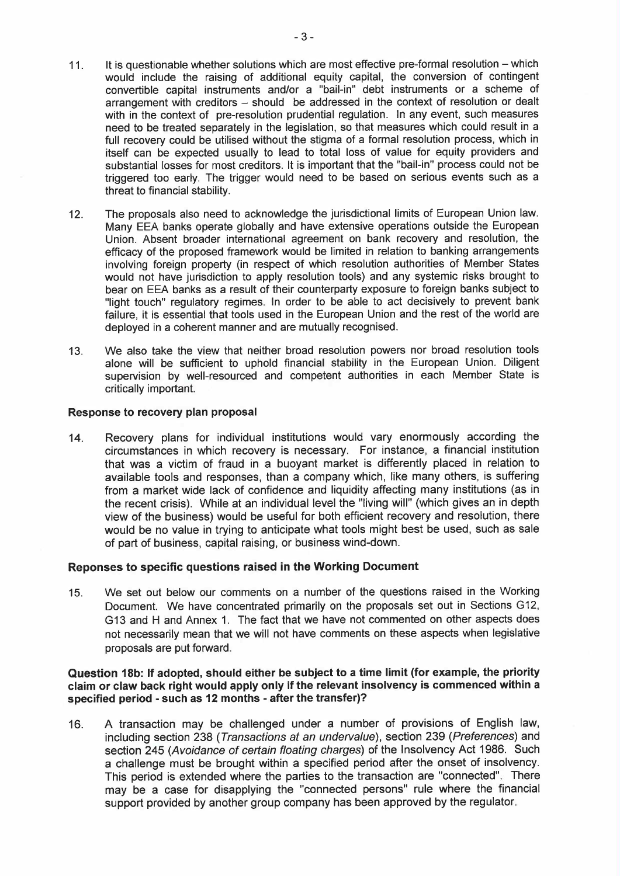- 11. It is questionable whether solutions which are most effective pre-formal resolution which would include the raising of additional equity capital, the conversion of contingent convertible capital instruments and/or a "bail-in" debt instruments or a scheme of arrangement with creditors – should be addressed in the context of resolution or dealt with in the context of pre-resolution prudential regulation. In any event, such measures need to be treated separately in the legislation, so that measures which could result in a full recovery could be utilised without the stigma of a formal resolution process, which in itself can be expected usually to lead to total loss of value for equity providers and substantial losses for most creditors. It is important that the "bail-in" process could not be triggered too early. The trigger would need to be based on serious events such as a threat to financial stability.
- 12. The proposals also need to acknowledge the jurisdictional limits of European Union law. Many EEA banks operate globally and have extensive operations outside the European Union. Absent broader international agreement on bank recovery and resolution, the efficacy of the proposed framework would be limited in relation to banking arrangements involving foreign property (in respect of which resolution authorities of Member States would not have jurisdiction to apply resolution tools) and any systemic risks brought to bear on EEA banks as a result of their counterparty exposure to foreign banks subject to "light touch" regulatory regimes. In order to be able to act decisively to prevent bank failure, it is essential that tools used in the European Union and the rest of the world are deployed in a coherent manner and are mutually recognised.
- 13. We also take the view that neither broad resolution powers nor broad resolution tools alone will be sufficient to uphold financial stability in the European Union. Diligent supervision by well-resourced and competent authorities in each Member State is critically important.

#### Response to recovery plan proposal

14. Recovery plans for individual institutions would vary enormously according the circumstances in which recovery is necessary. For instance, a financial institution that was a victim of fraud in a buoyant market is differently placed in relation to available tools and responses, than a company which, like many others, is suffering from a market wide lack of confidence and liquidity affecting many institutions (as in the recent crisis). While at an individual level the "living wil" (which gives an in depth view of the business) would be useful for both efficient recovery and resolution, there would be no value in trying to anticipate what tools might best be used, such as sale of part of business, capital raising, or business wind-down.

## Reponses to specific questions raised in the Working Document

15. We set out below our comments on a number of the questions raised in the Working Document. We have concentrated primarily on the proposals set out in Sections G12, G13 and H and Annex 1. The fact that we have not commented on other aspects does not necessarily mean that we will not have comments on these aspects when legislative proposals are put forward.

## Question 18b: If adopted, should either be subject to a time limit (for example, the priority claim or claw back right would apply only if the relevant insolvency is commenced within a specified period - such as 12 months - after the transfer)?

16. A transaction may be challenged under a number of provisions of English law, including section 238 (Transactions at an undervalue), section 239 (Preferences) and section 245 (Avoidance of certain floating charges) of the Insolvency Act 1986. Such a challenge must be brought within a specified period after the onset of insolvency. This period is extended where the parties to the transaction are "connected". There may be a case for disapplying the "connected persons" rule where the financial support provided by another group company has been approved by the regulator.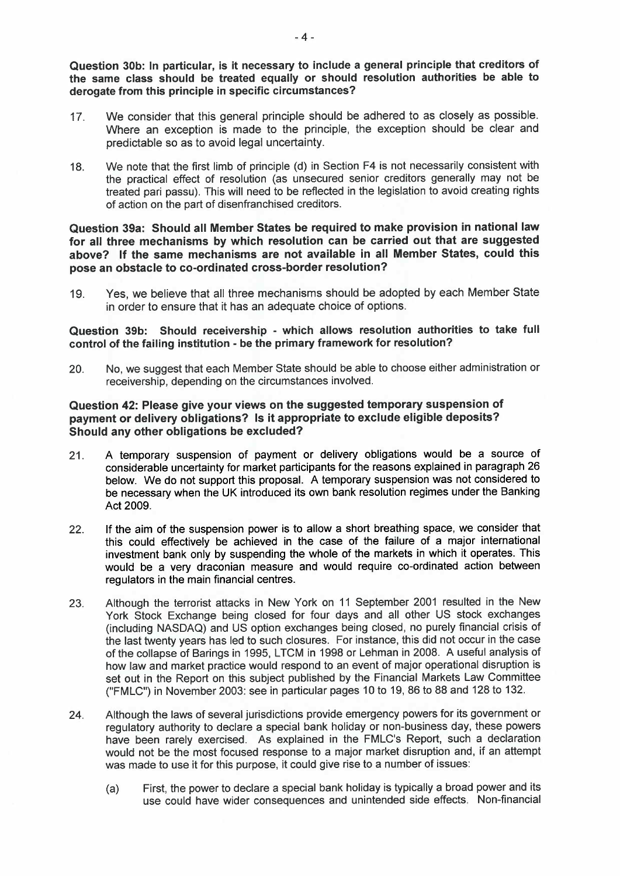Question 30b: In particular, is it necessary to include a general principle that creditors of the same class should be treated equally or should resolution authorities be able to derogate from this principle in specific circumstances?

- 17. We consider that this general principle should be adhered to as closely as possible. Where an exception is made to the principle, the exception should be clear and predictable so as to avoid legal uncertainty.
- 18. We note that the first limb of principle (d) in Section F4 is not necessarily consistent with the practical effect of resolution (as unsecured senior creditors generally may not be treated pari passu). This will need to be reflected in the legislation to avoid creating rights of action on the part of disenfranchised creditors.

# Question 39a: Should all Member States be required to make provision in national law for all three mechanisms by which resolution can be carried out that are suggested above? If the same mechanisms are not available in all Member States, could this pose an obstacle to co-ordinated cross-border resolution?

19. Yes, we believe that all three mechanisms should be adopted by each Member State in order to ensure that it has an adequate choice of options.

## Question 39b: Should receivership - which allows resolution authorities to take full control of the failng institution - be the primary framework for resolution?

20. No, we suggest that each Member State should be able to choose either administration or receivership, depending on the circumstances involved.

# Question 42: Please give your views on the suggested temporary suspension of payment or delivery obligations? Is it appropriate to exclude eligible deposits? Should any other obligations be excluded?

- 21. A temporary suspension of payment or delivery obligations would be a source of considerable uncertainty for market participants for the reasons explained in paragraph 26 below. We do not support this proposal. A temporary suspension was not considered to be necessary when the UK introduced its own bank resolution regimes under the Banking Act 2009.
- 22. If the aim of the suspension power is to allow a short breathing space, we consider that this could effectively be achieved in the case of the failure of a major international investment bank only by suspending the whole of the markets in which it operates. This would be a very draconian measure and would require co-ordinated action between regulators in the main financial centres.
- 23. Although the terrorist attacks in New York on 11 September 2001 resulted in the New York Stock Exchange being closed for four days and all other US stock exchanges (including NASDAQ) and US option exchanges being closed, no purely financial crisis of the last twenty years has led to such closures. For instance, this did not occur in the case of the collapse of Barings in 1995, LTCM in 1998 or Lehman in 2008. A useful analysis of how law and market practice would respond to an event of major operational disruption is set out in the Report on this subject published by the Financial Markets Law Committee ("FMLC") in November 2003: see in particular pages 10 to 19, 86 to 88 and 128 to 132.
- 24. Although the laws of several jurisdictions provide emergency powers for its government or regulatory authority to declare a special bank holiday or non-business day, these powers have been rarely exercised. As explained in the FMLC's Report, such a declaration would not be the most focused response to a major market disruption and, if an attempt was made to use it for this purpose, it could give rise to a number of issues:
	- (a) First, the power to declare a special bank holiday is typically a broad power and its use could have wider consequences and unintended side effects. Non-financial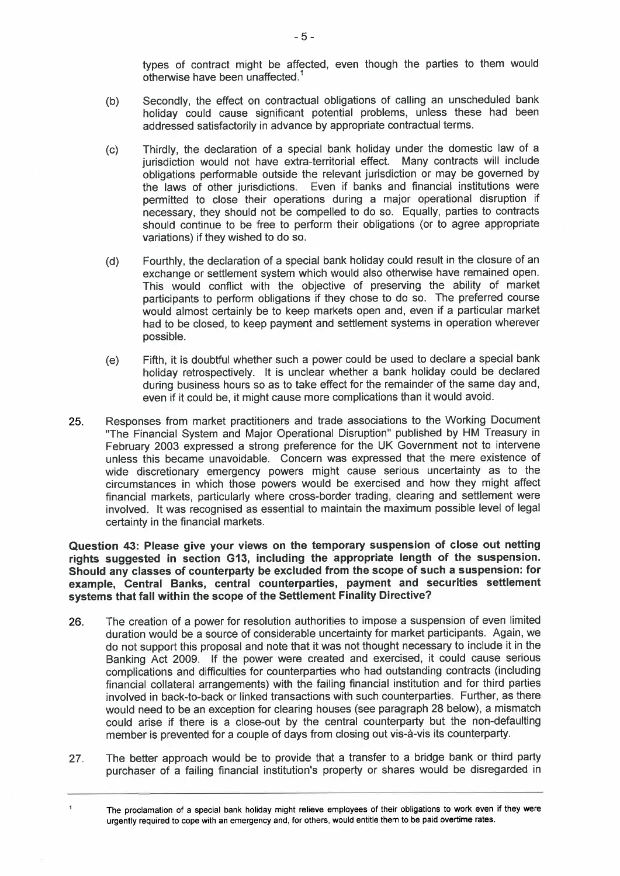types of contract might be affected, even though the parties to them would otherwise have been unaffected.<sup>1</sup>

- (b) Secondly, the effect on contractual obligations of calling an unscheduled bank holiday could cause significant potential problems, unless these had been addressed satisfactorily in advance by appropriate contractual terms.
- (c) Thirdly, the declaration of a special bank holiday under the domestic law of a jurisdiction would not have extra-territorial effect. Many contracts will include obligations performable outside the relevant jurisdiction or may be governed by the laws of other jurisdictions. Even if banks and financial institutions were permitted to close their operations during a major operational disruption if necessary, they should not be compelled to do so. Equally, parties to contracts should continue to be free to perform their obligations (or to agree appropriate variations) if they wished to do so.
- (d) Fourthly, the declaration of a special bank holiday could result in the closure of an exchange or settlement system which would also otherwise have remained open. This would conflict with the objective of preserving the ability of market participants to perform obligations if they chose to do so. The preferred course would almost certainly be to keep markets open and, even if a particular market had to be closed, to keep payment and settlement systems in operation wherever possible.
- (e) Fifth, it is doubtful whether such a power could be used to declare a special bank holiday retrospectively. It is unclear whether a bank holiday could be declared during business hours so as to take effect for the remainder of the same day and, even if it could be, it might cause more complications than it would avoid.
- 25. Responses from market practitioners and trade associations to the Working Document "The Financial System and Major Operational Disruption" published by HM Treasury in February 2003 expressed a strong preference for the UK Government not to intervene unless this became unavoidable. Concern was expressed that the mere existence of wide discretionary emergency powers might cause serious uncertainty as to the circumstances in which those powers would be exercised and how they might affect financial markets, particularly where cross-border trading, clearing and settlement were involved. It was recognised as essential to maintain the maximum possible level of legal certainty in the financial markets.

Question 43: Please give your views on the temporary suspension of close out netting rights suggested in section G13, including the appropriate length of the suspension. Should any classes of counterparty be excluded from the scope of such a suspension: for example, Central Banks, central counterparties, payment and securities settlement systems that fall within the scope of the Settlement Finality Directive?

- 26. The creation of a power for resolution authorities to impose a suspension of even limited duration would be a source of considerable uncertainty for market participants. Again, we do not support this proposal and note that it was not thought necessary to include it in the Banking Act 2009. If the power were created and exercised, it could cause serious complications and diffculties for counterparties who had outstanding contracts (including financial collateral arrangements) with the failing financial institution and for third parties involved in back-to-back or linked transactions with such counterparties. Further, as there would need to be an exception for clearing houses (see paragraph 28 below), a mismatch could arise if there is a close-out by the central counterparty but the non-defaulting member is prevented for a couple of days from closing out vis-à-vis its counterparty.
- 27. The better approach would be to provide that a transfer to a bridge bank or third party purchaser of a failing financial institution's property or shares would be disregarded in

 $\overline{1}$ 

The proclamation of a special bank holiday might relieve employees of their obligations to work even if they were urgently required to cope with an emergency and, for others, would entitle them to be paid overtime rates.